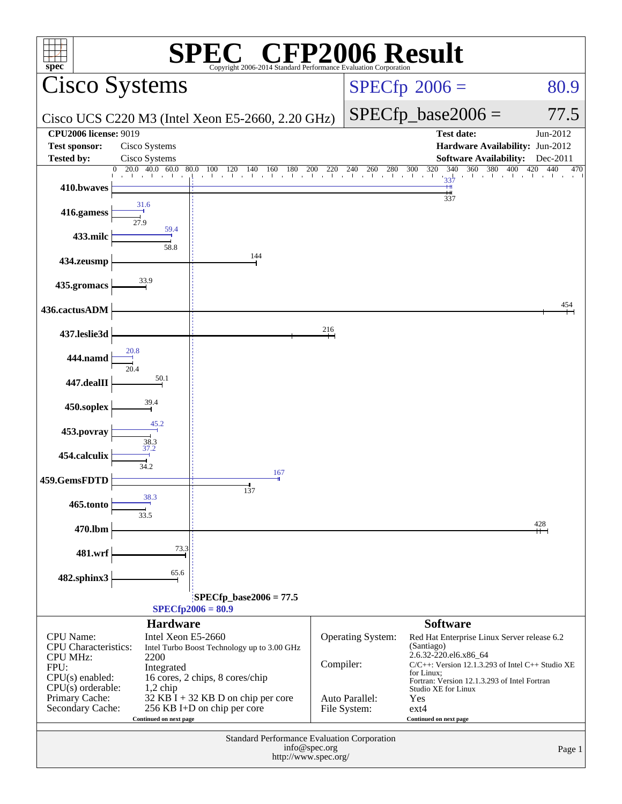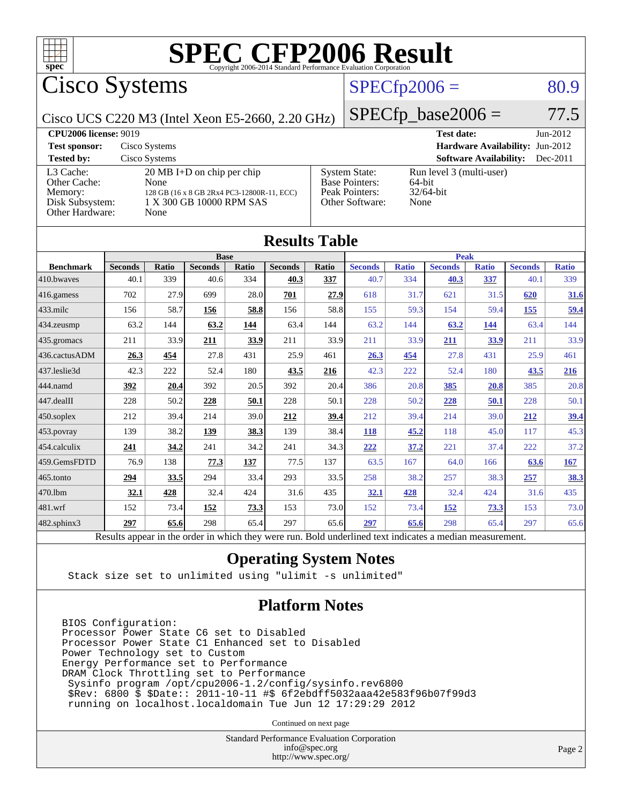

Cisco Systems

## $SPECTp2006 = 80.9$

Cisco UCS C220 M3 (Intel Xeon E5-2660, 2.20 GHz)

 $SPECfp\_base2006 = 77.5$ 

| <b>CPU2006 license: 9019</b>                                               |                                                                                                                                       |                                                                                    | <b>Test date:</b>                                          | $Jun-2012$ |
|----------------------------------------------------------------------------|---------------------------------------------------------------------------------------------------------------------------------------|------------------------------------------------------------------------------------|------------------------------------------------------------|------------|
| <b>Test sponsor:</b>                                                       | Cisco Systems                                                                                                                         |                                                                                    | <b>Hardware Availability: Jun-2012</b>                     |            |
| <b>Tested by:</b>                                                          | Cisco Systems                                                                                                                         |                                                                                    | <b>Software Availability:</b>                              | $Dec-2011$ |
| L3 Cache:<br>Other Cache:<br>Memory:<br>Disk Subsystem:<br>Other Hardware: | $20 \text{ MB I+D}$ on chip per chip<br><b>None</b><br>128 GB (16 x 8 GB 2Rx4 PC3-12800R-11, ECC)<br>1 X 300 GB 10000 RPM SAS<br>None | <b>System State:</b><br><b>Base Pointers:</b><br>Peak Pointers:<br>Other Software: | Run level 3 (multi-user)<br>64-bit<br>$32/64$ -bit<br>None |            |

| <b>Results Table</b> |                                                                                                          |       |                |             |                |       |                |              |                |              |                |              |
|----------------------|----------------------------------------------------------------------------------------------------------|-------|----------------|-------------|----------------|-------|----------------|--------------|----------------|--------------|----------------|--------------|
|                      | <b>Base</b>                                                                                              |       |                | <b>Peak</b> |                |       |                |              |                |              |                |              |
| <b>Benchmark</b>     | <b>Seconds</b>                                                                                           | Ratio | <b>Seconds</b> | Ratio       | <b>Seconds</b> | Ratio | <b>Seconds</b> | <b>Ratio</b> | <b>Seconds</b> | <b>Ratio</b> | <b>Seconds</b> | <b>Ratio</b> |
| 410.bwayes           | 40.1                                                                                                     | 339   | 40.6           | 334         | 40.3           | 337   | 40.7           | 334          | 40.3           | 337          | 40.1           | 339          |
| 416.gamess           | 702                                                                                                      | 27.9  | 699            | 28.0        | 701            | 27.9  | 618            | 31.7         | 621            | 31.5         | 620            | 31.6         |
| $433$ .milc          | 156                                                                                                      | 58.7  | 156            | 58.8        | 156            | 58.8  | 155            | 59.3         | 154            | 59.4         | 155            | <u>59.4</u>  |
| 434.zeusmp           | 63.2                                                                                                     | 144   | 63.2           | 144         | 63.4           | 144   | 63.2           | 144          | 63.2           | 144          | 63.4           | 144          |
| 435 gromacs          | 211                                                                                                      | 33.9  | 211            | 33.9        | 211            | 33.9  | 211            | 33.9         | 211            | 33.9         | 211            | 33.9         |
| 436.cactusADM        | 26.3                                                                                                     | 454   | 27.8           | 431         | 25.9           | 461   | 26.3           | 454          | 27.8           | 431          | 25.9           | 461          |
| 437.leslie3d         | 42.3                                                                                                     | 222   | 52.4           | 180         | 43.5           | 216   | 42.3           | 222          | 52.4           | 180          | 43.5           | 216          |
| 444.namd             | 392                                                                                                      | 20.4  | 392            | 20.5        | 392            | 20.4  | 386            | 20.8         | 385            | 20.8         | 385            | 20.8         |
| 447.dealII           | 228                                                                                                      | 50.2  | 228            | 50.1        | 228            | 50.1  | 228            | 50.2         | 228            | 50.1         | 228            | 50.1         |
| 450.soplex           | 212                                                                                                      | 39.4  | 214            | 39.0        | 212            | 39.4  | 212            | 39.4         | 214            | 39.0         | 212            | 39.4         |
| 453.povray           | 139                                                                                                      | 38.2  | 139            | 38.3        | 139            | 38.4  | 118            | 45.2         | 118            | 45.0         | 117            | 45.3         |
| 454.calculix         | 241                                                                                                      | 34.2  | 241            | 34.2        | 241            | 34.3  | 222            | 37.2         | 221            | 37.4         | 222            | 37.2         |
| 459.GemsFDTD         | 76.9                                                                                                     | 138   | 77.3           | 137         | 77.5           | 137   | 63.5           | 167          | 64.0           | 166          | 63.6           | 167          |
| 465.tonto            | 294                                                                                                      | 33.5  | 294            | 33.4        | 293            | 33.5  | 258            | 38.2         | 257            | 38.3         | 257            | <u>38.3</u>  |
| 470.1bm              | <u>32.1</u>                                                                                              | 428   | 32.4           | 424         | 31.6           | 435   | <u>32.1</u>    | 428          | 32.4           | 424          | 31.6           | 435          |
| 481.wrf              | 152                                                                                                      | 73.4  | 152            | 73.3        | 153            | 73.0  | 152            | 73.4         | 152            | 73.3         | 153            | 73.0         |
| $482$ .sphinx $3$    | 297                                                                                                      | 65.6  | 298            | 65.4        | 297            | 65.6  | 297            | 65.6         | 298            | 65.4         | 297            | 65.6         |
|                      | Results appear in the order in which they were run. Bold underlined text indicates a median measurement. |       |                |             |                |       |                |              |                |              |                |              |

### **[Operating System Notes](http://www.spec.org/auto/cpu2006/Docs/result-fields.html#OperatingSystemNotes)**

Stack size set to unlimited using "ulimit -s unlimited"

### **[Platform Notes](http://www.spec.org/auto/cpu2006/Docs/result-fields.html#PlatformNotes)**

BIOS Configuration: Processor Power State C6 set to Disabled Processor Power State C1 Enhanced set to Disabled Power Technology set to Custom Energy Performance set to Performance DRAM Clock Throttling set to Performance Sysinfo program /opt/cpu2006-1.2/config/sysinfo.rev6800 \$Rev: 6800 \$ \$Date:: 2011-10-11 #\$ 6f2ebdff5032aaa42e583f96b07f99d3 running on localhost.localdomain Tue Jun 12 17:29:29 2012

Continued on next page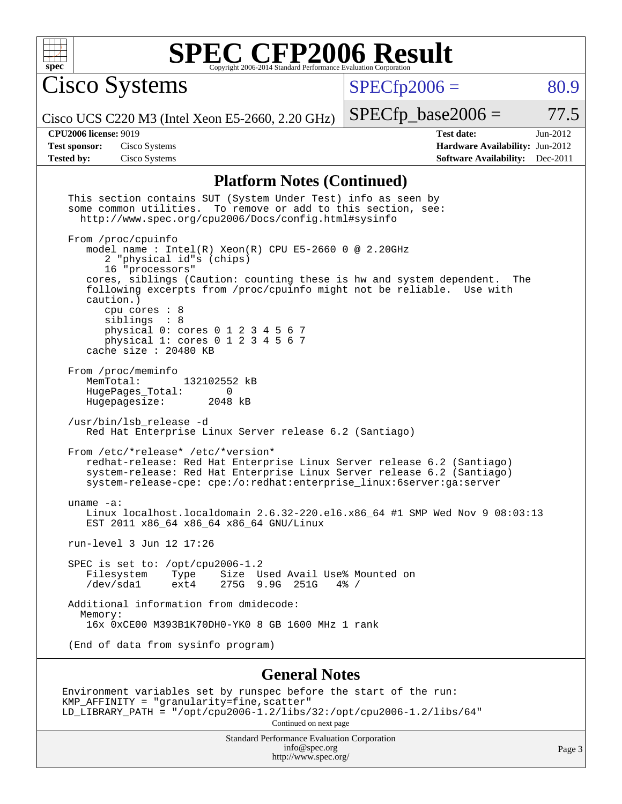

Cisco Systems

 $SPECfp2006 = 80.9$  $SPECfp2006 = 80.9$ 

Cisco UCS C220 M3 (Intel Xeon E5-2660, 2.20 GHz)

 $SPECfp\_base2006 = 77.5$ 

**[CPU2006 license:](http://www.spec.org/auto/cpu2006/Docs/result-fields.html#CPU2006license)** 9019 **[Test date:](http://www.spec.org/auto/cpu2006/Docs/result-fields.html#Testdate)** Jun-2012 **[Test sponsor:](http://www.spec.org/auto/cpu2006/Docs/result-fields.html#Testsponsor)** Cisco Systems **[Hardware Availability:](http://www.spec.org/auto/cpu2006/Docs/result-fields.html#HardwareAvailability)** Jun-2012 **[Tested by:](http://www.spec.org/auto/cpu2006/Docs/result-fields.html#Testedby)** Cisco Systems **[Software Availability:](http://www.spec.org/auto/cpu2006/Docs/result-fields.html#SoftwareAvailability)** Dec-2011

### **[Platform Notes \(Continued\)](http://www.spec.org/auto/cpu2006/Docs/result-fields.html#PlatformNotes)**

| This section contains SUT (System Under Test) info as seen by<br>some common utilities. To remove or add to this section, see:<br>http://www.spec.org/cpu2006/Docs/config.html#sysinfo                                                                         |        |
|----------------------------------------------------------------------------------------------------------------------------------------------------------------------------------------------------------------------------------------------------------------|--------|
| From /proc/cpuinfo<br>model name : Intel(R) Xeon(R) CPU E5-2660 0 @ 2.20GHz<br>2 "physical id"s (chips)<br>16 "processors"                                                                                                                                     |        |
| cores, siblings (Caution: counting these is hw and system dependent.<br>The<br>following excerpts from /proc/cpuinfo might not be reliable. Use with<br>caution.)<br>cpu cores $: 8$<br>siblings : 8                                                           |        |
| physical 0: cores 0 1 2 3 4 5 6 7<br>physical 1: cores 0 1 2 3 4 5 6 7<br>cache size : 20480 KB                                                                                                                                                                |        |
| From /proc/meminfo<br>MemTotal:<br>132102552 kB<br>HugePages_Total:<br>0<br>Hugepagesize: 2048 kB                                                                                                                                                              |        |
| /usr/bin/lsb_release -d<br>Red Hat Enterprise Linux Server release 6.2 (Santiago)                                                                                                                                                                              |        |
| From /etc/*release* /etc/*version*<br>redhat-release: Red Hat Enterprise Linux Server release 6.2 (Santiago)<br>system-release: Red Hat Enterprise Linux Server release 6.2 (Santiago)<br>system-release-cpe: cpe:/o:redhat:enterprise_linux:6server:ga:server |        |
| uname $-a$ :<br>Linux localhost.localdomain 2.6.32-220.el6.x86_64 #1 SMP Wed Nov 9 08:03:13<br>EST 2011 x86_64 x86_64 x86_64 GNU/Linux                                                                                                                         |        |
| run-level 3 Jun 12 17:26                                                                                                                                                                                                                                       |        |
| SPEC is set to: /opt/cpu2006-1.2<br>Filesystem Type<br>Size Used Avail Use% Mounted on<br>/dev/sda1 ext4<br>275G 9.9G 251G<br>$4\%$ /                                                                                                                          |        |
| Additional information from dmidecode:<br>Memory:<br>16x 0xCE00 M393B1K70DH0-YK0 8 GB 1600 MHz 1 rank                                                                                                                                                          |        |
| (End of data from sysinfo program)                                                                                                                                                                                                                             |        |
| <b>General Notes</b>                                                                                                                                                                                                                                           |        |
| Environment variables set by runspec before the start of the run:<br>KMP_AFFINITY = "granularity=fine, scatter"<br>LD_LIBRARY_PATH = "/opt/cpu2006-1.2/libs/32:/opt/cpu2006-1.2/libs/64"<br>Continued on next page                                             |        |
| Standard Performance Evaluation Corporation<br>info@spec.org                                                                                                                                                                                                   | Page 3 |

<http://www.spec.org/>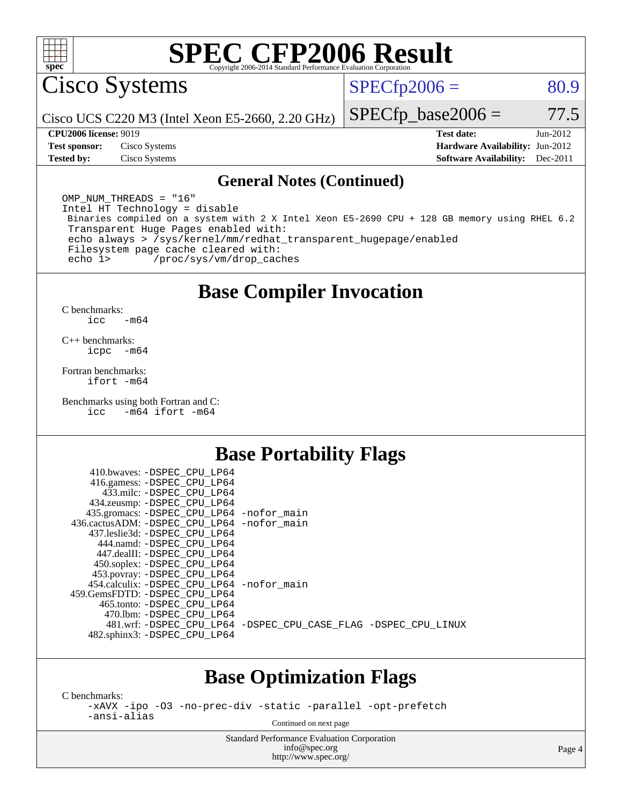

Cisco Systems

 $SPECTp2006 = 80.9$ 

Cisco UCS C220 M3 (Intel Xeon E5-2660, 2.20 GHz)

**[Tested by:](http://www.spec.org/auto/cpu2006/Docs/result-fields.html#Testedby)** Cisco Systems **[Software Availability:](http://www.spec.org/auto/cpu2006/Docs/result-fields.html#SoftwareAvailability)** Dec-2011

**[CPU2006 license:](http://www.spec.org/auto/cpu2006/Docs/result-fields.html#CPU2006license)** 9019 **[Test date:](http://www.spec.org/auto/cpu2006/Docs/result-fields.html#Testdate)** Jun-2012 **[Test sponsor:](http://www.spec.org/auto/cpu2006/Docs/result-fields.html#Testsponsor)** Cisco Systems **[Hardware Availability:](http://www.spec.org/auto/cpu2006/Docs/result-fields.html#HardwareAvailability)** Jun-2012

 $SPECfp\_base2006 = 77.5$ 

#### **[General Notes \(Continued\)](http://www.spec.org/auto/cpu2006/Docs/result-fields.html#GeneralNotes)**

OMP NUM THREADS = "16" Intel HT Technology = disable Binaries compiled on a system with 2 X Intel Xeon E5-2690 CPU + 128 GB memory using RHEL 6.2 Transparent Huge Pages enabled with: echo always > /sys/kernel/mm/redhat\_transparent\_hugepage/enabled Filesystem page cache cleared with: echo 1> /proc/sys/vm/drop\_caches

## **[Base Compiler Invocation](http://www.spec.org/auto/cpu2006/Docs/result-fields.html#BaseCompilerInvocation)**

[C benchmarks](http://www.spec.org/auto/cpu2006/Docs/result-fields.html#Cbenchmarks): [icc -m64](http://www.spec.org/cpu2006/results/res2012q3/cpu2006-20120613-22879.flags.html#user_CCbase_intel_icc_64bit_0b7121f5ab7cfabee23d88897260401c)

[C++ benchmarks:](http://www.spec.org/auto/cpu2006/Docs/result-fields.html#CXXbenchmarks) [icpc -m64](http://www.spec.org/cpu2006/results/res2012q3/cpu2006-20120613-22879.flags.html#user_CXXbase_intel_icpc_64bit_bedb90c1146cab66620883ef4f41a67e)

[Fortran benchmarks](http://www.spec.org/auto/cpu2006/Docs/result-fields.html#Fortranbenchmarks): [ifort -m64](http://www.spec.org/cpu2006/results/res2012q3/cpu2006-20120613-22879.flags.html#user_FCbase_intel_ifort_64bit_ee9d0fb25645d0210d97eb0527dcc06e)

[Benchmarks using both Fortran and C](http://www.spec.org/auto/cpu2006/Docs/result-fields.html#BenchmarksusingbothFortranandC): [icc -m64](http://www.spec.org/cpu2006/results/res2012q3/cpu2006-20120613-22879.flags.html#user_CC_FCbase_intel_icc_64bit_0b7121f5ab7cfabee23d88897260401c) [ifort -m64](http://www.spec.org/cpu2006/results/res2012q3/cpu2006-20120613-22879.flags.html#user_CC_FCbase_intel_ifort_64bit_ee9d0fb25645d0210d97eb0527dcc06e)

### **[Base Portability Flags](http://www.spec.org/auto/cpu2006/Docs/result-fields.html#BasePortabilityFlags)**

| 410.bwaves: -DSPEC CPU LP64<br>416.gamess: -DSPEC_CPU_LP64 |                                                                |
|------------------------------------------------------------|----------------------------------------------------------------|
| 433.milc: -DSPEC CPU LP64                                  |                                                                |
| 434.zeusmp: -DSPEC_CPU_LP64                                |                                                                |
| 435.gromacs: -DSPEC_CPU_LP64 -nofor_main                   |                                                                |
| 436.cactusADM: - DSPEC CPU LP64 - nofor main               |                                                                |
| 437.leslie3d: -DSPEC CPU LP64                              |                                                                |
| 444.namd: -DSPEC CPU LP64                                  |                                                                |
| 447.dealII: -DSPEC CPU LP64                                |                                                                |
| 450.soplex: -DSPEC_CPU_LP64                                |                                                                |
| 453.povray: -DSPEC_CPU_LP64                                |                                                                |
| 454.calculix: - DSPEC CPU LP64 - nofor main                |                                                                |
| 459. GemsFDTD: - DSPEC CPU LP64                            |                                                                |
| 465.tonto: - DSPEC CPU LP64                                |                                                                |
| 470.1bm: - DSPEC CPU LP64                                  |                                                                |
|                                                            | 481.wrf: -DSPEC_CPU_LP64 -DSPEC_CPU_CASE_FLAG -DSPEC_CPU_LINUX |
| 482.sphinx3: -DSPEC_CPU_LP64                               |                                                                |
|                                                            |                                                                |

### **[Base Optimization Flags](http://www.spec.org/auto/cpu2006/Docs/result-fields.html#BaseOptimizationFlags)**

[C benchmarks](http://www.spec.org/auto/cpu2006/Docs/result-fields.html#Cbenchmarks):

[-xAVX](http://www.spec.org/cpu2006/results/res2012q3/cpu2006-20120613-22879.flags.html#user_CCbase_f-xAVX) [-ipo](http://www.spec.org/cpu2006/results/res2012q3/cpu2006-20120613-22879.flags.html#user_CCbase_f-ipo) [-O3](http://www.spec.org/cpu2006/results/res2012q3/cpu2006-20120613-22879.flags.html#user_CCbase_f-O3) [-no-prec-div](http://www.spec.org/cpu2006/results/res2012q3/cpu2006-20120613-22879.flags.html#user_CCbase_f-no-prec-div) [-static](http://www.spec.org/cpu2006/results/res2012q3/cpu2006-20120613-22879.flags.html#user_CCbase_f-static) [-parallel](http://www.spec.org/cpu2006/results/res2012q3/cpu2006-20120613-22879.flags.html#user_CCbase_f-parallel) [-opt-prefetch](http://www.spec.org/cpu2006/results/res2012q3/cpu2006-20120613-22879.flags.html#user_CCbase_f-opt-prefetch) [-ansi-alias](http://www.spec.org/cpu2006/results/res2012q3/cpu2006-20120613-22879.flags.html#user_CCbase_f-ansi-alias)

Continued on next page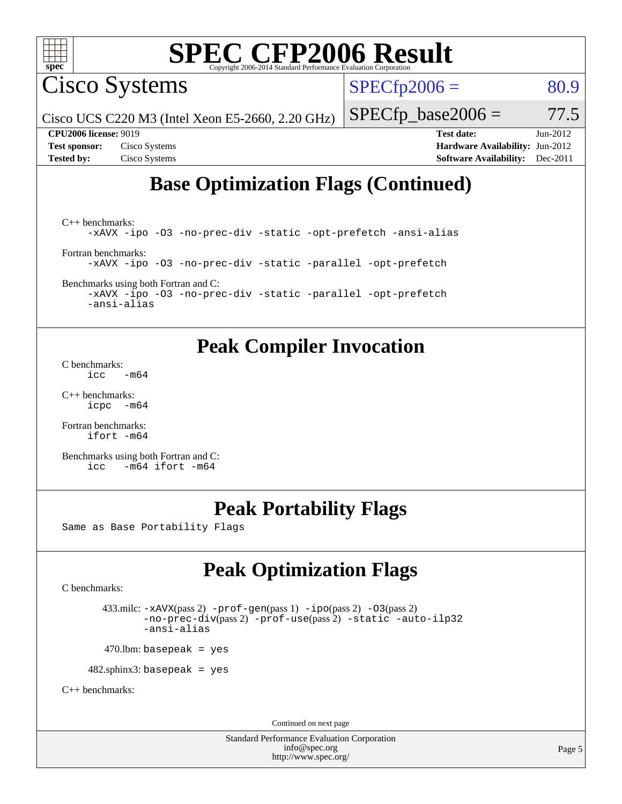

Cisco Systems

 $SPECTp2006 = 80.9$ 

Cisco UCS C220 M3 (Intel Xeon E5-2660, 2.20 GHz)

 $SPECfp\_base2006 = 77.5$ 

**[CPU2006 license:](http://www.spec.org/auto/cpu2006/Docs/result-fields.html#CPU2006license)** 9019 **[Test date:](http://www.spec.org/auto/cpu2006/Docs/result-fields.html#Testdate)** Jun-2012 **[Test sponsor:](http://www.spec.org/auto/cpu2006/Docs/result-fields.html#Testsponsor)** Cisco Systems **[Hardware Availability:](http://www.spec.org/auto/cpu2006/Docs/result-fields.html#HardwareAvailability)** Jun-2012 **[Tested by:](http://www.spec.org/auto/cpu2006/Docs/result-fields.html#Testedby)** Cisco Systems **[Software Availability:](http://www.spec.org/auto/cpu2006/Docs/result-fields.html#SoftwareAvailability)** Dec-2011

# **[Base Optimization Flags \(Continued\)](http://www.spec.org/auto/cpu2006/Docs/result-fields.html#BaseOptimizationFlags)**

[C++ benchmarks:](http://www.spec.org/auto/cpu2006/Docs/result-fields.html#CXXbenchmarks) [-xAVX](http://www.spec.org/cpu2006/results/res2012q3/cpu2006-20120613-22879.flags.html#user_CXXbase_f-xAVX) [-ipo](http://www.spec.org/cpu2006/results/res2012q3/cpu2006-20120613-22879.flags.html#user_CXXbase_f-ipo) [-O3](http://www.spec.org/cpu2006/results/res2012q3/cpu2006-20120613-22879.flags.html#user_CXXbase_f-O3) [-no-prec-div](http://www.spec.org/cpu2006/results/res2012q3/cpu2006-20120613-22879.flags.html#user_CXXbase_f-no-prec-div) [-static](http://www.spec.org/cpu2006/results/res2012q3/cpu2006-20120613-22879.flags.html#user_CXXbase_f-static) [-opt-prefetch](http://www.spec.org/cpu2006/results/res2012q3/cpu2006-20120613-22879.flags.html#user_CXXbase_f-opt-prefetch) [-ansi-alias](http://www.spec.org/cpu2006/results/res2012q3/cpu2006-20120613-22879.flags.html#user_CXXbase_f-ansi-alias) [Fortran benchmarks](http://www.spec.org/auto/cpu2006/Docs/result-fields.html#Fortranbenchmarks): [-xAVX](http://www.spec.org/cpu2006/results/res2012q3/cpu2006-20120613-22879.flags.html#user_FCbase_f-xAVX) [-ipo](http://www.spec.org/cpu2006/results/res2012q3/cpu2006-20120613-22879.flags.html#user_FCbase_f-ipo) [-O3](http://www.spec.org/cpu2006/results/res2012q3/cpu2006-20120613-22879.flags.html#user_FCbase_f-O3) [-no-prec-div](http://www.spec.org/cpu2006/results/res2012q3/cpu2006-20120613-22879.flags.html#user_FCbase_f-no-prec-div) [-static](http://www.spec.org/cpu2006/results/res2012q3/cpu2006-20120613-22879.flags.html#user_FCbase_f-static) [-parallel](http://www.spec.org/cpu2006/results/res2012q3/cpu2006-20120613-22879.flags.html#user_FCbase_f-parallel) [-opt-prefetch](http://www.spec.org/cpu2006/results/res2012q3/cpu2006-20120613-22879.flags.html#user_FCbase_f-opt-prefetch)

[Benchmarks using both Fortran and C](http://www.spec.org/auto/cpu2006/Docs/result-fields.html#BenchmarksusingbothFortranandC):

[-xAVX](http://www.spec.org/cpu2006/results/res2012q3/cpu2006-20120613-22879.flags.html#user_CC_FCbase_f-xAVX) [-ipo](http://www.spec.org/cpu2006/results/res2012q3/cpu2006-20120613-22879.flags.html#user_CC_FCbase_f-ipo) [-O3](http://www.spec.org/cpu2006/results/res2012q3/cpu2006-20120613-22879.flags.html#user_CC_FCbase_f-O3) [-no-prec-div](http://www.spec.org/cpu2006/results/res2012q3/cpu2006-20120613-22879.flags.html#user_CC_FCbase_f-no-prec-div) [-static](http://www.spec.org/cpu2006/results/res2012q3/cpu2006-20120613-22879.flags.html#user_CC_FCbase_f-static) [-parallel](http://www.spec.org/cpu2006/results/res2012q3/cpu2006-20120613-22879.flags.html#user_CC_FCbase_f-parallel) [-opt-prefetch](http://www.spec.org/cpu2006/results/res2012q3/cpu2006-20120613-22879.flags.html#user_CC_FCbase_f-opt-prefetch) [-ansi-alias](http://www.spec.org/cpu2006/results/res2012q3/cpu2006-20120613-22879.flags.html#user_CC_FCbase_f-ansi-alias)

## **[Peak Compiler Invocation](http://www.spec.org/auto/cpu2006/Docs/result-fields.html#PeakCompilerInvocation)**

[C benchmarks](http://www.spec.org/auto/cpu2006/Docs/result-fields.html#Cbenchmarks):  $\text{icc}$   $-\text{m64}$ 

[C++ benchmarks:](http://www.spec.org/auto/cpu2006/Docs/result-fields.html#CXXbenchmarks) [icpc -m64](http://www.spec.org/cpu2006/results/res2012q3/cpu2006-20120613-22879.flags.html#user_CXXpeak_intel_icpc_64bit_bedb90c1146cab66620883ef4f41a67e)

[Fortran benchmarks](http://www.spec.org/auto/cpu2006/Docs/result-fields.html#Fortranbenchmarks): [ifort -m64](http://www.spec.org/cpu2006/results/res2012q3/cpu2006-20120613-22879.flags.html#user_FCpeak_intel_ifort_64bit_ee9d0fb25645d0210d97eb0527dcc06e)

[Benchmarks using both Fortran and C](http://www.spec.org/auto/cpu2006/Docs/result-fields.html#BenchmarksusingbothFortranandC): [icc -m64](http://www.spec.org/cpu2006/results/res2012q3/cpu2006-20120613-22879.flags.html#user_CC_FCpeak_intel_icc_64bit_0b7121f5ab7cfabee23d88897260401c) [ifort -m64](http://www.spec.org/cpu2006/results/res2012q3/cpu2006-20120613-22879.flags.html#user_CC_FCpeak_intel_ifort_64bit_ee9d0fb25645d0210d97eb0527dcc06e)

# **[Peak Portability Flags](http://www.spec.org/auto/cpu2006/Docs/result-fields.html#PeakPortabilityFlags)**

Same as Base Portability Flags

# **[Peak Optimization Flags](http://www.spec.org/auto/cpu2006/Docs/result-fields.html#PeakOptimizationFlags)**

[C benchmarks](http://www.spec.org/auto/cpu2006/Docs/result-fields.html#Cbenchmarks):

 433.milc: [-xAVX](http://www.spec.org/cpu2006/results/res2012q3/cpu2006-20120613-22879.flags.html#user_peakPASS2_CFLAGSPASS2_LDFLAGS433_milc_f-xAVX)(pass 2) [-prof-gen](http://www.spec.org/cpu2006/results/res2012q3/cpu2006-20120613-22879.flags.html#user_peakPASS1_CFLAGSPASS1_LDFLAGS433_milc_prof_gen_e43856698f6ca7b7e442dfd80e94a8fc)(pass 1) [-ipo](http://www.spec.org/cpu2006/results/res2012q3/cpu2006-20120613-22879.flags.html#user_peakPASS2_CFLAGSPASS2_LDFLAGS433_milc_f-ipo)(pass 2) [-O3](http://www.spec.org/cpu2006/results/res2012q3/cpu2006-20120613-22879.flags.html#user_peakPASS2_CFLAGSPASS2_LDFLAGS433_milc_f-O3)(pass 2) [-no-prec-div](http://www.spec.org/cpu2006/results/res2012q3/cpu2006-20120613-22879.flags.html#user_peakPASS2_CFLAGSPASS2_LDFLAGS433_milc_f-no-prec-div)(pass 2) [-prof-use](http://www.spec.org/cpu2006/results/res2012q3/cpu2006-20120613-22879.flags.html#user_peakPASS2_CFLAGSPASS2_LDFLAGS433_milc_prof_use_bccf7792157ff70d64e32fe3e1250b55)(pass 2) [-static](http://www.spec.org/cpu2006/results/res2012q3/cpu2006-20120613-22879.flags.html#user_peakOPTIMIZE433_milc_f-static) [-auto-ilp32](http://www.spec.org/cpu2006/results/res2012q3/cpu2006-20120613-22879.flags.html#user_peakCOPTIMIZE433_milc_f-auto-ilp32) [-ansi-alias](http://www.spec.org/cpu2006/results/res2012q3/cpu2006-20120613-22879.flags.html#user_peakCOPTIMIZE433_milc_f-ansi-alias)

 $470.$ lbm: basepeak = yes

482.sphinx3: basepeak = yes

[C++ benchmarks:](http://www.spec.org/auto/cpu2006/Docs/result-fields.html#CXXbenchmarks)

Continued on next page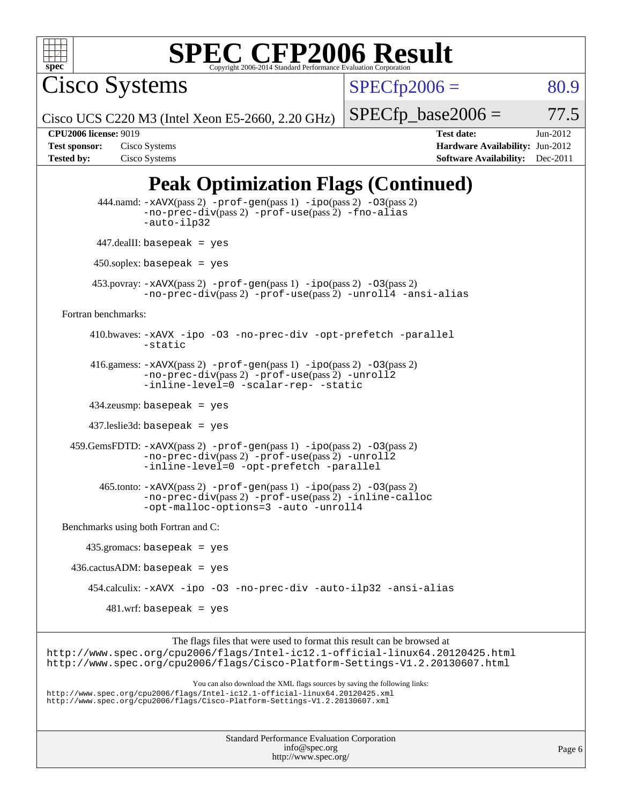

Cisco Systems

 $SPECTp2006 = 80.9$ 

Cisco UCS C220 M3 (Intel Xeon E5-2660, 2.20 GHz)

 $SPECTp\_base2006 = 77.5$ 

| <b>Test sponsor:</b> | Cisco Systems |
|----------------------|---------------|
| <b>Tested by:</b>    | Cisco Systems |

**[CPU2006 license:](http://www.spec.org/auto/cpu2006/Docs/result-fields.html#CPU2006license)** 9019 **[Test date:](http://www.spec.org/auto/cpu2006/Docs/result-fields.html#Testdate)** Jun-2012 **[Hardware Availability:](http://www.spec.org/auto/cpu2006/Docs/result-fields.html#HardwareAvailability)** Jun-2012 **[Software Availability:](http://www.spec.org/auto/cpu2006/Docs/result-fields.html#SoftwareAvailability)** Dec-2011

# **[Peak Optimization Flags \(Continued\)](http://www.spec.org/auto/cpu2006/Docs/result-fields.html#PeakOptimizationFlags)**

```
444.namd: -xAVX(pass 2) -prof-gen(pass 1) -ppo(pass 2) -03(pass 2)
                  -no-prec-div(pass 2) -prof-use(pass 2) -fno-alias
                  -auto-ilp32
         447.dealII: basepeak = yes
          450.soplex: basepeak = yes
         453.povray: -xAVX(pass 2) -prof-gen(pass 1) -ipo(pass 2) -O3(pass 2)
                  -no-prec-div(pass 2) -prof-use(pass 2) -unroll4 -ansi-alias
  Fortran benchmarks: 
         410.bwaves: -xAVX -ipo -O3 -no-prec-div -opt-prefetch -parallel
                  -static
         416.gamess: -xAVX(pass 2) -prof-gen(pass 1) -ipo(pass 2) -O3(pass 2)
                  -no-prec-div(pass 2) -prof-use(pass 2) -unroll2
                  -inline-level=0-scalar-rep--static
         434.zeusmp: basepeak = yes
         437.leslie3d: basepeak = yes
     459.GemsFDTD: -xAVX(pass 2) -prof-gen(pass 1) -ipo(pass 2) -O3(pass 2)
                  -no-prec-div(pass 2) -prof-use(pass 2) -unroll2
                  -inline-level=0 -opt-prefetch -parallel
           465.tonto: -xAVX(pass 2) -prof-gen(pass 1) -ipo(pass 2) -O3(pass 2)
                  -no-prec-div(pass 2) -prof-use(pass 2) -inline-calloc
                  -opt-malloc-options=3-auto-unroll4
   Benchmarks using both Fortran and C: 
        435.gromacs: basepeak = yes
    436.cactusADM:basepeak = yes 454.calculix: -xAVX -ipo -O3 -no-prec-div -auto-ilp32 -ansi-alias
            481.wrf: basepeak = yes
                        The flags files that were used to format this result can be browsed at
http://www.spec.org/cpu2006/flags/Intel-ic12.1-official-linux64.20120425.html
http://www.spec.org/cpu2006/flags/Cisco-Platform-Settings-V1.2.20130607.html
```
You can also download the XML flags sources by saving the following links: <http://www.spec.org/cpu2006/flags/Intel-ic12.1-official-linux64.20120425.xml> <http://www.spec.org/cpu2006/flags/Cisco-Platform-Settings-V1.2.20130607.xml>

| <b>Standard Performance Evaluation Corporation</b> |
|----------------------------------------------------|
| info@spec.org                                      |
| http://www.spec.org/                               |